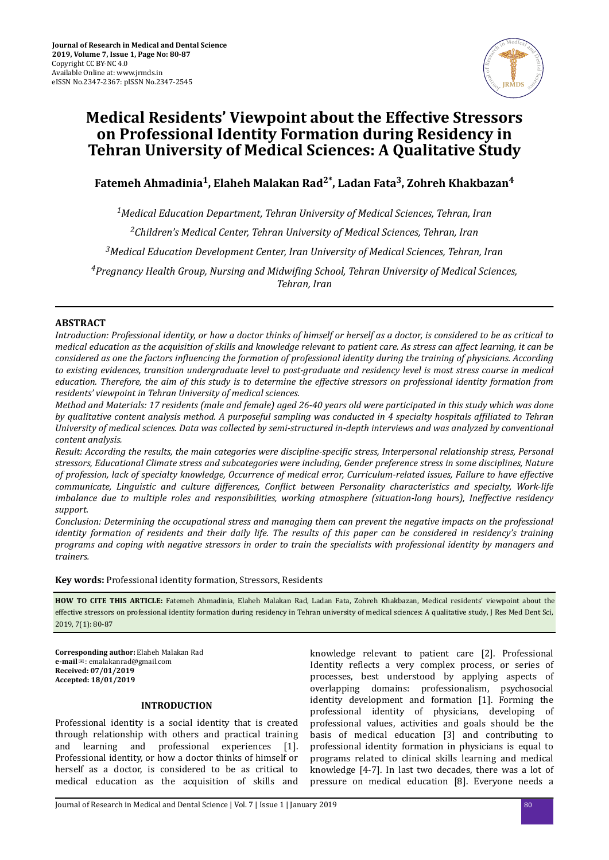

# **Medical Residents' Viewpoint about the Effective Stressors on Professional Identity Formation during Residency in Tehran University of Medical Sciences: A Qualitative Study**

**Fatemeh Ahmadinia<sup>1</sup> , Elaheh Malakan Rad2\*, Ladan Fata<sup>3</sup> , Zohreh Khakbazan<sup>4</sup>**

*Medical Education Department, Tehran University of Medical Sciences, Tehran, Iran Children's Medical Center, Tehran University of Medical Sciences, Tehran, Iran Medical Education Development Center, Iran University of Medical Sciences, Tehran, Iran Pregnancy Health Group, Nursing and dϔng School, Tehran University of Medical Sciences, Tehran, Iran*

# **ABSTRACT**

*Introduction: Professional identity, or how a doctor thinks of himself or herself as a doctor, is considered to be as critical to medical education as the acquisition of skills and knowledge relevant to patient care. As stress can affect learning, it can be considered as one the factors nϔuencng the formation of professional identity during the training of physicians. According to existing evidences, transition undergraduate level to post-graduate and residency level is most stress course in medical education. Therefore, the aim of this study is to determine the effective stressors on professional identity formation from residents' viewpoint in Tehran University of medical sciences.*

*Method and Materials: 17 residents (male and female) aged 26-40 years old were participated in this study which was done by qualitative content analysis method. A purposeful sampling was conducted in 4 specialty hospitals affiliated to Tehran University of medical sciences. Data was collected by semi-structured in-depth interviews and was analyzed by conventional content analysis.*

*Result: According the results, the main categories were discipline-specific stress, Interpersonal relationship stress, Personal stressors, Educational Climate stress and subcategories were including, Gender preference stress in some disciplines, Nature of profession, lack of specialty knowledge, Occurrence of medical error, Curriculum-related issues, Failure to have effective communicate, Linguistic and culture differences, onϔct between Personality characteristics and specialty, Work-life imbalance due to multiple roles and responsibilities, working atmosphere (situation-long hours), Ineffective residency support.*

*Conclusion: Determining the occupational stress and managing them can prevent the negative impacts on the professional identity formation of residents and their daily life. The results of this paper can be considered in residency's training programs and coping with negative stressors in order to train the specialists with professional identity by managers and trainers.*

**Key words:** Professional identity formation, Stressors, Residents

**HOW TO CITE THIS ARTICLE:** Fatemeh Ahmadinia, Elaheh Malakan Rad, Ladan Fata, Zohreh Khakbazan, Medical residents' viewpoint about the effective stressors on professional identity formation during residency in Tehran university of medical sciences: A qualitative study, J Res Med Dent Sci, 2019, 7(1): 80-87

**Corresponding author:** Elaheh Malakan Rad **e-mail**✉: emalakanrad@gmail.com **Received: 07/01/2019 Accepted: 18/01/2019**

# **INTRODUCTION**

Professional identity is a social identity that is created through relationship with others and practical training and learning and professional experiences [1]. Professional identity, or how a doctor thinks of himself or herself as a doctor, is considered to be as critical to medical education as the acquisition of skills and

knowledge relevant to patient care [2]. Professional Identity reflects a very complex process, or series of processes, best understood by applying aspects of overlapping domains: professionalism, psychosocial identity development and formation [1]. Forming the professional identity of physicians, developing of professional values, activities and goals should be the basis of medical education [3] and contributing to professional identity formation in physicians is equal to programs related to clinical skills learning and medical knowledge [4-7]. In last two decades, there was a lot of pressure on medical education [8]. Everyone needs a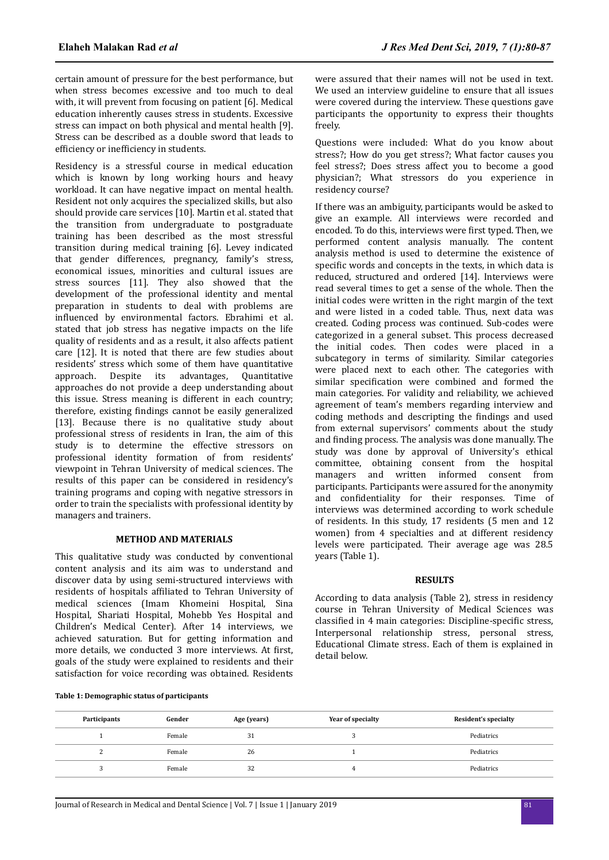certain amount of pressure for the best performance, but when stress becomes excessive and too much to deal with, it will prevent from focusing on patient [6]. Medical education inherently causes stress in students. Excessive stress can impact on both physical and mental health [9]. Stress can be described as a double sword that leads to efficiency or inefficiency in students.

Residency is a stressful course in medical education which is known by long working hours and heavy workload. It can have negative impact on mental health. Resident not only acquires the specialized skills, but also should provide care services [10]. Martin et al. stated that the transition from undergraduate to postgraduate training has been described as the most stressful transition during medical training [6]. Levey indicated that gender differences, pregnancy, family's stress, economical issues, minorities and cultural issues are stress sources [11]. They also showed that the development of the professional identity and mental preparation in students to deal with problems are influenced by environmental factors. Ebrahimi et al. stated that job stress has negative impacts on the life quality of residents and as a result, it also affects patient care [12]. It is noted that there are few studies about residents' stress which some of them have quantitative approach. Despite its advantages, Quantitative approaches do not provide a deep understanding about this issue. Stress meaning is different in each country; therefore, existing findings cannot be easily generalized [13]. Because there is no qualitative study about professional stress of residents in Iran, the aim of this study is to determine the effective stressors on professional identity formation of from residents' viewpoint in Tehran University of medical sciences. The results of this paper can be considered in residency's training programs and coping with negative stressors in order to train the specialists with professional identity by managers and trainers.

# **METHOD AND MATERIALS**

This qualitative study was conducted by conventional content analysis and its aim was to understand and discover data by using semi-structured interviews with residents of hospitals affiliated to Tehran University of medical sciences (Imam Khomeini Hospital, Sina Hospital, Shariati Hospital, Mohebb Yes Hospital and Children's Medical Center). After 14 interviews, we achieved saturation. But for getting information and more details, we conducted 3 more interviews. At first, goals of the study were explained to residents and their satisfaction for voice recording was obtained. Residents

were assured that their names will not be used in text. We used an interview guideline to ensure that all issues were covered during the interview. These questions gave participants the opportunity to express their thoughts freely.

Questions were included: What do you know about stress?; How do you get stress?; What factor causes you feel stress?; Does stress affect you to become a good physician?; What stressors do you experience in residency course?

If there was an ambiguity, participants would be asked to give an example. All interviews were recorded and encoded. To do this, interviews were first typed. Then, we performed content analysis manually. The content analysis method is used to determine the existence of specific words and concepts in the texts, in which data is reduced, structured and ordered [14]. Interviews were read several times to get a sense of the whole. Then the initial codes were written in the right margin of the text and were listed in a coded table. Thus, next data was created. Coding process was continued. Sub-codes were categorized in a general subset. This process decreased the initial codes. Then codes were placed in a subcategory in terms of similarity. Similar categories were placed next to each other. The categories with similar specification were combined and formed the main categories. For validity and reliability, we achieved agreement of team's members regarding interview and coding methods and descripting the findings and used from external supervisors' comments about the study and finding process. The analysis was done manually. The study was done by approval of University's ethical committee, obtaining consent from the hospital managers and written informed consent from participants. Participants were assured for the anonymity and confidentiality for their responses. Time of interviews was determined according to work schedule of residents. In this study, 17 residents (5 men and 12 women) from 4 specialties and at different residency levels were participated. Their average age was 28.5 years (Table 1).

#### **RESULTS**

According to data analysis (Table 2), stress in residency course in Tehran University of Medical Sciences was classified in 4 main categories: Discipline-specific stress, Interpersonal relationship stress, personal stress, Educational Climate stress. Each of them is explained in detail below.

| Table 1: Demographic status of participants |
|---------------------------------------------|
|---------------------------------------------|

| Participants | Gender | Age (years) | Year of specialty | Resident's specialty |
|--------------|--------|-------------|-------------------|----------------------|
|              | Female | 31          |                   | Pediatrics           |
|              | Female | 26          |                   | Pediatrics           |
|              | Female | 32          | 4                 | Pediatrics           |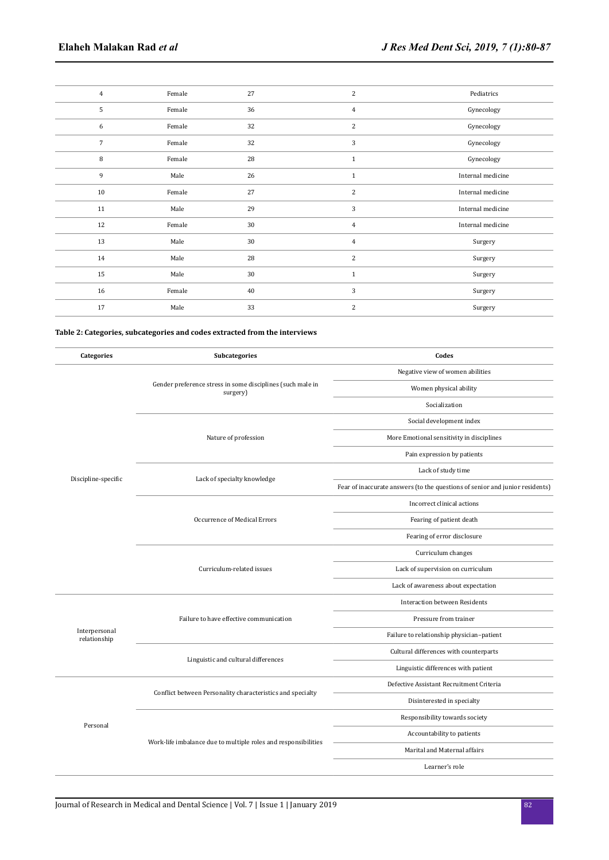| $\overline{4}$  | Female | 27 | 2              | Pediatrics        |
|-----------------|--------|----|----------------|-------------------|
| 5               | Female | 36 | $\overline{4}$ | Gynecology        |
| 6               | Female | 32 | 2              | Gynecology        |
| $7\overline{ }$ | Female | 32 | 3              | Gynecology        |
| 8               | Female | 28 | $\mathbf{1}$   | Gynecology        |
| 9               | Male   | 26 | $\mathbf{1}$   | Internal medicine |
| 10              | Female | 27 | 2              | Internal medicine |
| 11              | Male   | 29 | 3              | Internal medicine |
| 12              | Female | 30 | $\overline{4}$ | Internal medicine |
| 13              | Male   | 30 | $\overline{4}$ | Surgery           |
| 14              | Male   | 28 | $\overline{c}$ | Surgery           |
| 15              | Male   | 30 | $\mathbf{1}$   | Surgery           |
| 16              | Female | 40 | 3              | Surgery           |
| 17              | Male   | 33 | 2              | Surgery           |

## **Table 2: Categories, subcategories and codes extracted from the interviews**

| Categories                    | Subcategories                                                          | Codes                                                                        |
|-------------------------------|------------------------------------------------------------------------|------------------------------------------------------------------------------|
|                               |                                                                        | Negative view of women abilities                                             |
|                               | Gender preference stress in some disciplines (such male in<br>surgery) | Women physical ability                                                       |
|                               |                                                                        | Socialization                                                                |
|                               |                                                                        | Social development index                                                     |
|                               | Nature of profession                                                   | More Emotional sensitivity in disciplines                                    |
|                               |                                                                        | Pain expression by patients                                                  |
| Discipline-specific           | Lack of specialty knowledge                                            | Lack of study time                                                           |
|                               |                                                                        | Fear of inaccurate answers (to the questions of senior and junior residents) |
|                               |                                                                        | Incorrect clinical actions                                                   |
|                               | Occurrence of Medical Errors                                           | Fearing of patient death                                                     |
|                               |                                                                        | Fearing of error disclosure                                                  |
|                               | Curriculum-related issues                                              | Curriculum changes                                                           |
|                               |                                                                        | Lack of supervision on curriculum                                            |
|                               |                                                                        | Lack of awareness about expectation                                          |
|                               |                                                                        | <b>Interaction between Residents</b>                                         |
|                               | Failure to have effective communication                                | Pressure from trainer                                                        |
| Interpersonal<br>relationship |                                                                        | Failure to relationship physician-patient                                    |
|                               | Linguistic and cultural differences                                    | Cultural differences with counterparts                                       |
|                               |                                                                        | Linguistic differences with patient                                          |
| Personal                      | Conflict between Personality characteristics and specialty             | Defective Assistant Recruitment Criteria                                     |
|                               |                                                                        | Disinterested in specialty                                                   |
|                               |                                                                        | Responsibility towards society                                               |
|                               | Work-life imbalance due to multiple roles and responsibilities         | Accountability to patients                                                   |
|                               |                                                                        | Marital and Maternal affairs                                                 |
|                               |                                                                        | Learner's role                                                               |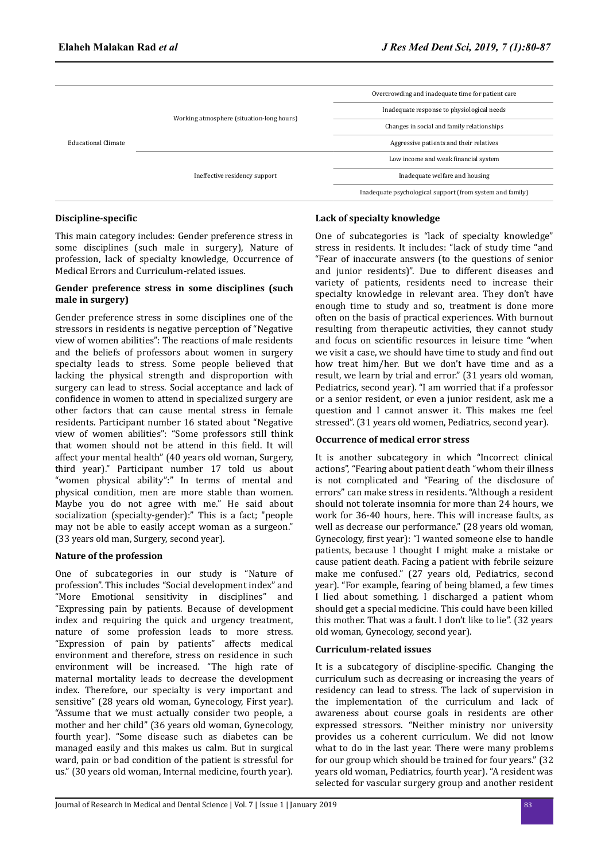| Educational Climate |                                           | Overcrowding and inadequate time for patient care         |  |
|---------------------|-------------------------------------------|-----------------------------------------------------------|--|
|                     |                                           | Inadequate response to physiological needs                |  |
|                     | Working atmosphere (situation-long hours) | Changes in social and family relationships                |  |
|                     |                                           | Aggressive patients and their relatives                   |  |
|                     |                                           | Low income and weak financial system                      |  |
|                     | Ineffective residency support             | Inadequate welfare and housing                            |  |
|                     |                                           | Inadequate psychological support (from system and family) |  |

# **Discipline-specific**

This main category includes: Gender preference stress in some disciplines (such male in surgery), Nature of profession, lack of specialty knowledge, Occurrence of Medical Errors and Curriculum-related issues.

## **Gender preference stress in some disciplines (such male in surgery)**

Gender preference stress in some disciplines one of the stressors in residents is negative perception of "Negative view of women abilities": The reactions of male residents and the beliefs of professors about women in surgery specialty leads to stress. Some people believed that lacking the physical strength and disproportion with surgery can lead to stress. Social acceptance and lack of confidence in women to attend in specialized surgery are other factors that can cause mental stress in female residents. Participant number 16 stated about "Negative view of women abilities": "Some professors still think that women should not be attend in this field. It will affect your mental health" (40 years old woman, Surgery, third year)." Participant number 17 told us about "women physical ability":" In terms of mental and physical condition, men are more stable than women. Maybe you do not agree with me." He said about socialization (specialty-gender):" This is a fact; "people may not be able to easily accept woman as a surgeon." (33 years old man, Surgery, second year).

#### **Nature of the profession**

One of subcategories in our study is "Nature of profession". This includes "Social development index" and "More Emotional sensitivity in disciplines" and "Expressing pain by patients. Because of development index and requiring the quick and urgency treatment, nature of some profession leads to more stress. "Expression of pain by patients" affects medical environment and therefore, stress on residence in such environment will be increased. "The high rate of maternal mortality leads to decrease the development index. Therefore, our specialty is very important and sensitive" (28 years old woman, Gynecology, First year). "Assume that we must actually consider two people, a mother and her child" (36 years old woman, Gynecology, fourth year). "Some disease such as diabetes can be managed easily and this makes us calm. But in surgical ward, pain or bad condition of the patient is stressful for us." (30 years old woman, Internal medicine, fourth year).

## **Lack of specialty knowledge**

One of subcategories is "lack of specialty knowledge" stress in residents. It includes: "lack of study time "and "Fear of inaccurate answers (to the questions of senior and junior residents)". Due to different diseases and variety of patients, residents need to increase their specialty knowledge in relevant area. They don't have enough time to study and so, treatment is done more often on the basis of practical experiences. With burnout resulting from therapeutic activities, they cannot study and focus on scientific resources in leisure time "when we visit a case, we should have time to study and find out how treat him/her. But we don't have time and as a result, we learn by trial and error." (31 years old woman, Pediatrics, second year). "I am worried that if a professor or a senior resident, or even a junior resident, ask me a question and I cannot answer it. This makes me feel stressed". (31 years old women, Pediatrics, second year).

#### **Occurrence of medical error stress**

It is another subcategory in which "Incorrect clinical actions", "Fearing about patient death "whom their illness is not complicated and "Fearing of the disclosure of errors" can make stress in residents. "Although a resident should not tolerate insomnia for more than 24 hours, we work for 36-40 hours, here. This will increase faults, as well as decrease our performance." (28 years old woman, Gynecology, first year): "I wanted someone else to handle patients, because I thought I might make a mistake or cause patient death. Facing a patient with febrile seizure make me confused." (27 years old, Pediatrics, second year). "For example, fearing of being blamed, a few times I lied about something. I discharged a patient whom should get a special medicine. This could have been killed this mother. That was a fault. I don't like to lie". (32 years old woman, Gynecology, second year).

#### **Curriculum-related issues**

It is a subcategory of discipline-specific. Changing the curriculum such as decreasing or increasing the years of residency can lead to stress. The lack of supervision in the implementation of the curriculum and lack of awareness about course goals in residents are other expressed stressors. "Neither ministry nor university provides us a coherent curriculum. We did not know what to do in the last year. There were many problems for our group which should be trained for four years." (32 years old woman, Pediatrics, fourth year). "A resident was selected for vascular surgery group and another resident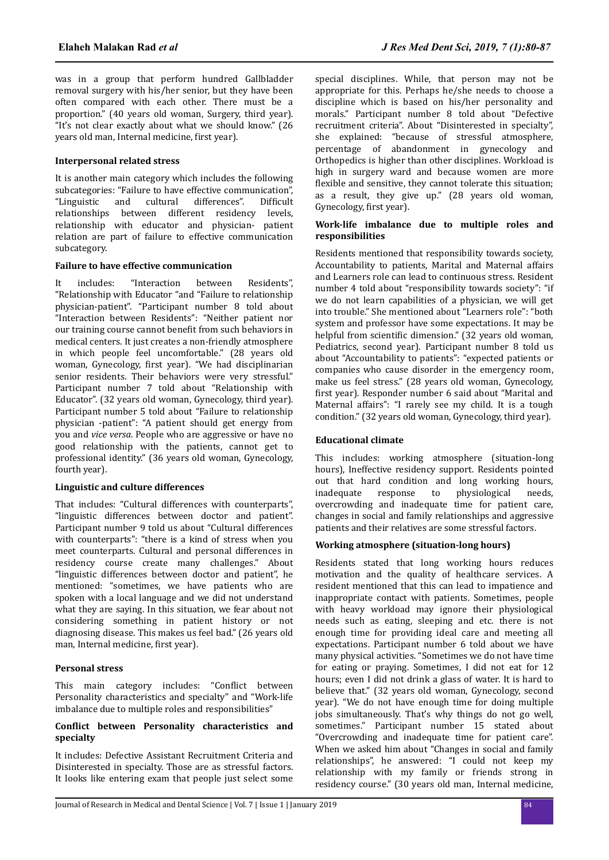was in a group that perform hundred Gallbladder removal surgery with his/her senior, but they have been often compared with each other. There must be a proportion." (40 years old woman, Surgery, third year). "It's not clear exactly about what we should know." (26 years old man, Internal medicine, first year).

## **Interpersonal related stress**

It is another main category which includes the following subcategories: "Failure to have effective communication", "Linguistic and cultural differences". Difficult relationships between different residency levels, relationship with educator and physician- patient relation are part of failure to effective communication subcategory.

## **Failure to have effective communication**

It includes: "Interaction between Residents", "Relationship with Educator "and "Failure to relationship physician-patient". "Participant number 8 told about "Interaction between Residents": "Neither patient nor our training course cannot benefit from such behaviors in medical centers. It just creates a non-friendly atmosphere in which people feel uncomfortable." (28 years old woman, Gynecology, first year). "We had disciplinarian senior residents. Their behaviors were very stressful." Participant number 7 told about "Relationship with Educator". (32 years old woman, Gynecology, third year). Participant number 5 told about "Failure to relationship physician -patient": "A patient should get energy from you and *vice versa*. People who are aggressive or have no good relationship with the patients, cannot get to professional identity." (36 years old woman, Gynecology, fourth year).

# **Linguistic and culture differences**

That includes: "Cultural differences with counterparts", "linguistic differences between doctor and patient". Participant number 9 told us about "Cultural differences with counterparts": "there is a kind of stress when you meet counterparts. Cultural and personal differences in residency course create many challenges." About "linguistic differences between doctor and patient", he mentioned: "sometimes, we have patients who are spoken with a local language and we did not understand what they are saying. In this situation, we fear about not considering something in patient history or not diagnosing disease. This makes us feel bad." (26 years old man, Internal medicine, first year).

# **Personal stress**

This main category includes: "Conflict between Personality characteristics and specialty" and "Work-life imbalance due to multiple roles and responsibilities"

## **Conϐt between Personality characteristics and specialty**

It includes: Defective Assistant Recruitment Criteria and Disinterested in specialty. Those are as stressful factors. It looks like entering exam that people just select some

special disciplines. While, that person may not be appropriate for this. Perhaps he/she needs to choose a discipline which is based on his/her personality and morals." Participant number 8 told about "Defective recruitment criteria". About "Disinterested in specialty", she explained: "because of stressful atmosphere, percentage of abandonment in gynecology and Orthopedics is higher than other disciplines. Workload is high in surgery ward and because women are more flexible and sensitive, they cannot tolerate this situation; as a result, they give up." (28 years old woman, Gynecology, first year).

## **Work-life imbalance due to multiple roles and responsibilities**

Residents mentioned that responsibility towards society, Accountability to patients, Marital and Maternal affairs and Learners role can lead to continuous stress. Resident number 4 told about "responsibility towards society": "if we do not learn capabilities of a physician, we will get into trouble." She mentioned about "Learners role": "both system and professor have some expectations. It may be helpful from scientific dimension." (32 years old woman, Pediatrics, second year). Participant number 8 told us about "Accountability to patients": "expected patients or companies who cause disorder in the emergency room, make us feel stress." (28 years old woman, Gynecology, first year). Responder number 6 said about "Marital and Maternal affairs": "I rarely see my child. It is a tough condition." (32 years old woman, Gynecology, third year).

## **Educational climate**

This includes: working atmosphere (situation-long hours), Ineffective residency support. Residents pointed out that hard condition and long working hours, inadequate response to physiological needs, overcrowding and inadequate time for patient care, changes in social and family relationships and aggressive patients and their relatives are some stressful factors.

# **Working atmosphere (situation-long hours)**

Residents stated that long working hours reduces motivation and the quality of healthcare services. A resident mentioned that this can lead to impatience and inappropriate contact with patients. Sometimes, people with heavy workload may ignore their physiological needs such as eating, sleeping and etc. there is not enough time for providing ideal care and meeting all expectations. Participant number 6 told about we have many physical activities. "Sometimes we do not have time for eating or praying. Sometimes, I did not eat for 12 hours; even I did not drink a glass of water. It is hard to believe that." (32 years old woman, Gynecology, second year). "We do not have enough time for doing multiple jobs simultaneously. That's why things do not go well, sometimes." Participant number 15 stated about "Overcrowding and inadequate time for patient care". When we asked him about "Changes in social and family relationships", he answered: "I could not keep my relationship with my family or friends strong in residency course." (30 years old man, Internal medicine,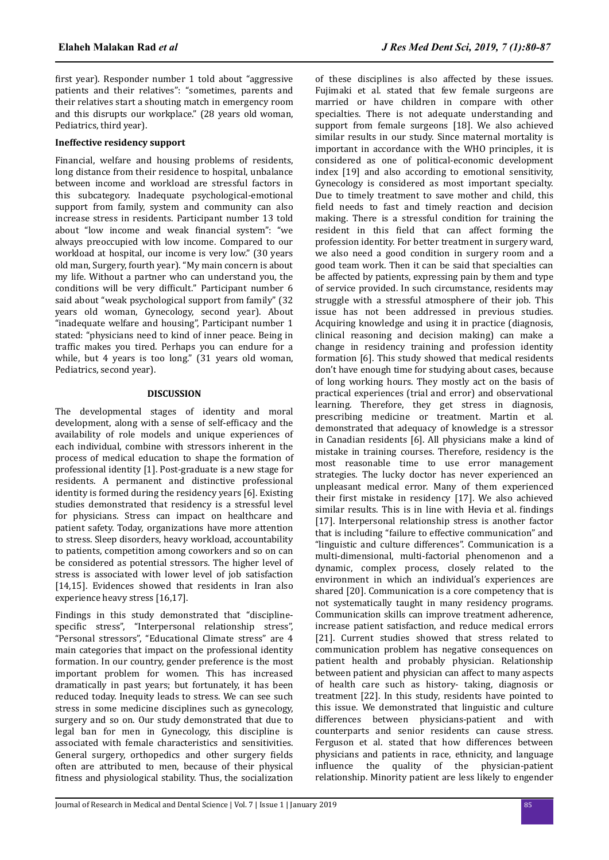first year). Responder number 1 told about "aggressive patients and their relatives": "sometimes, parents and their relatives start a shouting match in emergency room and this disrupts our workplace." (28 years old woman, Pediatrics, third year).

## **Ineffective residency support**

Financial, welfare and housing problems of residents, long distance from their residence to hospital, unbalance between income and workload are stressful factors in this subcategory. Inadequate psychological-emotional support from family, system and community can also increase stress in residents. Participant number 13 told about "low income and weak financial system": "we always preoccupied with low income. Compared to our workload at hospital, our income is very low." (30 years old man, Surgery, fourth year). "My main concern is about my life. Without a partner who can understand you, the conditions will be very difficult." Participant number 6 said about "weak psychological support from family" (32 years old woman, Gynecology, second year). About "inadequate welfare and housing", Participant number 1 stated: "physicians need to kind of inner peace. Being in traffic makes you tired. Perhaps you can endure for a while, but 4 years is too long." (31 years old woman, Pediatrics, second year).

## **DISCUSSION**

The developmental stages of identity and moral development, along with a sense of self-efficacy and the availability of role models and unique experiences of each individual, combine with stressors inherent in the process of medical education to shape the formation of professional identity [1]. Post-graduate is a new stage for residents. A permanent and distinctive professional identity is formed during the residency years [6]. Existing studies demonstrated that residency is a stressful level for physicians. Stress can impact on healthcare and patient safety. Today, organizations have more attention to stress. Sleep disorders, heavy workload, accountability to patients, competition among coworkers and so on can be considered as potential stressors. The higher level of stress is associated with lower level of job satisfaction [14,15]. Evidences showed that residents in Iran also experience heavy stress [16,17].

Findings in this study demonstrated that "disciplinespecific stress", "Interpersonal relationship stress", "Personal stressors", "Educational Climate stress" are 4 main categories that impact on the professional identity formation. In our country, gender preference is the most important problem for women. This has increased dramatically in past years; but fortunately, it has been reduced today. Inequity leads to stress. We can see such stress in some medicine disciplines such as gynecology, surgery and so on. Our study demonstrated that due to legal ban for men in Gynecology, this discipline is associated with female characteristics and sensitivities. General surgery, orthopedics and other surgery fields often are attributed to men, because of their physical fitness and physiological stability. Thus, the socialization of these disciplines is also affected by these issues. Fujimaki et al. stated that few female surgeons are married or have children in compare with other specialties. There is not adequate understanding and support from female surgeons [18]. We also achieved similar results in our study. Since maternal mortality is important in accordance with the WHO principles, it is considered as one of political-economic development index [19] and also according to emotional sensitivity, Gynecology is considered as most important specialty. Due to timely treatment to save mother and child, this field needs to fast and timely reaction and decision making. There is a stressful condition for training the resident in this field that can affect forming the profession identity. For better treatment in surgery ward, we also need a good condition in surgery room and a good team work. Then it can be said that specialties can be affected by patients, expressing pain by them and type of service provided. In such circumstance, residents may struggle with a stressful atmosphere of their job. This issue has not been addressed in previous studies. Acquiring knowledge and using it in practice (diagnosis, clinical reasoning and decision making) can make a change in residency training and profession identity formation [6]. This study showed that medical residents don't have enough time for studying about cases, because of long working hours. They mostly act on the basis of practical experiences (trial and error) and observational learning. Therefore, they get stress in diagnosis, prescribing medicine or treatment. Martin et al. demonstrated that adequacy of knowledge is a stressor in Canadian residents [6]. All physicians make a kind of mistake in training courses. Therefore, residency is the most reasonable time to use error management strategies. The lucky doctor has never experienced an unpleasant medical error. Many of them experienced their first mistake in residency [17]. We also achieved similar results. This is in line with Hevia et al. findings [17]. Interpersonal relationship stress is another factor that is including "failure to effective communication" and "linguistic and culture differences". Communication is a multi-dimensional, multi-factorial phenomenon and a dynamic, complex process, closely related to the environment in which an individual's experiences are shared [20]. Communication is a core competency that is not systematically taught in many residency programs. Communication skills can improve treatment adherence, increase patient satisfaction, and reduce medical errors [21]. Current studies showed that stress related to communication problem has negative consequences on patient health and probably physician. Relationship between patient and physician can affect to many aspects of health care such as history- taking, diagnosis or treatment [22]. In this study, residents have pointed to this issue. We demonstrated that linguistic and culture differences between physicians-patient and with counterparts and senior residents can cause stress. Ferguson et al. stated that how differences between physicians and patients in race, ethnicity, and language influence the quality of the physician-patient relationship. Minority patient are less likely to engender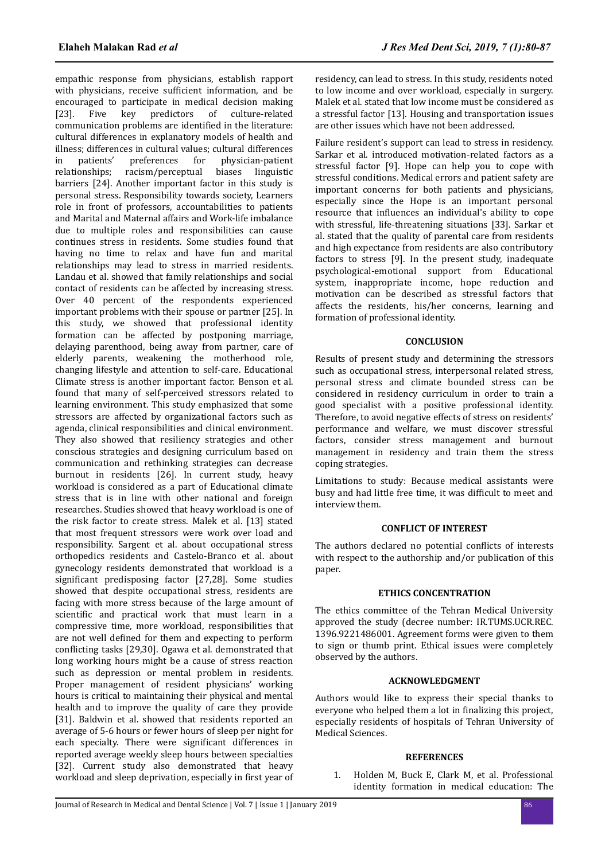empathic response from physicians, establish rapport with physicians, receive sufficient information, and be encouraged to participate in medical decision making [23]. Five key predictors of culture-related communication problems are identified in the literature: cultural differences in explanatory models of health and illness; differences in cultural values; cultural differences in patients' preferences for physician-patient relationships; racism/perceptual biases linguistic barriers [24]. Another important factor in this study is personal stress. Responsibility towards society, Learners role in front of professors, accountabilities to patients and Marital and Maternal affairs and Work-life imbalance due to multiple roles and responsibilities can cause continues stress in residents. Some studies found that having no time to relax and have fun and marital relationships may lead to stress in married residents. Landau et al. showed that family relationships and social contact of residents can be affected by increasing stress. Over 40 percent of the respondents experienced important problems with their spouse or partner [25]. In this study, we showed that professional identity formation can be affected by postponing marriage, delaying parenthood, being away from partner, care of elderly parents, weakening the motherhood role, changing lifestyle and attention to self-care. Educational Climate stress is another important factor. Benson et al. found that many of self-perceived stressors related to learning environment. This study emphasized that some stressors are affected by organizational factors such as agenda, clinical responsibilities and clinical environment. They also showed that resiliency strategies and other conscious strategies and designing curriculum based on communication and rethinking strategies can decrease burnout in residents [26]. In current study, heavy workload is considered as a part of Educational climate stress that is in line with other national and foreign researches. Studies showed that heavy workload is one of the risk factor to create stress. Malek et al. [13] stated that most frequent stressors were work over load and responsibility. Sargent et al. about occupational stress orthopedics residents and Castelo-Branco et al. about gynecology residents demonstrated that workload is a significant predisposing factor [27,28]. Some studies showed that despite occupational stress, residents are facing with more stress because of the large amount of scientific and practical work that must learn in a compressive time, more workload, responsibilities that are not well defined for them and expecting to perform conflicting tasks [29,30]. Ogawa et al. demonstrated that long working hours might be a cause of stress reaction such as depression or mental problem in residents. Proper management of resident physicians' working hours is critical to maintaining their physical and mental health and to improve the quality of care they provide [31]. Baldwin et al. showed that residents reported an average of 5-6 hours or fewer hours of sleep per night for each specialty. There were significant differences in reported average weekly sleep hours between specialties [32]. Current study also demonstrated that heavy workload and sleep deprivation, especially in first year of residency, can lead to stress. In this study, residents noted to low income and over workload, especially in surgery. Malek et al. stated that low income must be considered as a stressful factor [13]. Housing and transportation issues are other issues which have not been addressed.

Failure resident's support can lead to stress in residency. Sarkar et al. introduced motivation-related factors as a stressful factor [9]. Hope can help you to cope with stressful conditions. Medical errors and patient safety are important concerns for both patients and physicians, especially since the Hope is an important personal resource that influences an individual's ability to cope with stressful, life-threatening situations [33]. Sarkar et al. stated that the quality of parental care from residents and high expectance from residents are also contributory factors to stress [9]. In the present study, inadequate psychological-emotional support from Educational system, inappropriate income, hope reduction and motivation can be described as stressful factors that affects the residents, his/her concerns, learning and formation of professional identity.

## **CONCLUSION**

Results of present study and determining the stressors such as occupational stress, interpersonal related stress, personal stress and climate bounded stress can be considered in residency curriculum in order to train a good specialist with a positive professional identity. Therefore, to avoid negative effects of stress on residents' performance and welfare, we must discover stressful factors, consider stress management and burnout management in residency and train them the stress coping strategies.

Limitations to study: Because medical assistants were busy and had little free time, it was difficult to meet and interview them.

#### **CONFLICT OF INTEREST**

The authors declared no potential conflicts of interests with respect to the authorship and/or publication of this paper.

#### **ETHICS CONCENTRATION**

The ethics committee of the Tehran Medical University approved the study (decree number: IR.TUMS.UCR.REC. 1396.9221486001. Agreement forms were given to them to sign or thumb print. Ethical issues were completely observed by the authors.

#### **ACKNOWLEDGMENT**

Authors would like to express their special thanks to everyone who helped them a lot in finalizing this project, especially residents of hospitals of Tehran University of Medical Sciences.

## **REFERENCES**

1. Holden M, Buck E, Clark M, et al. Professional identity formation in medical education: The